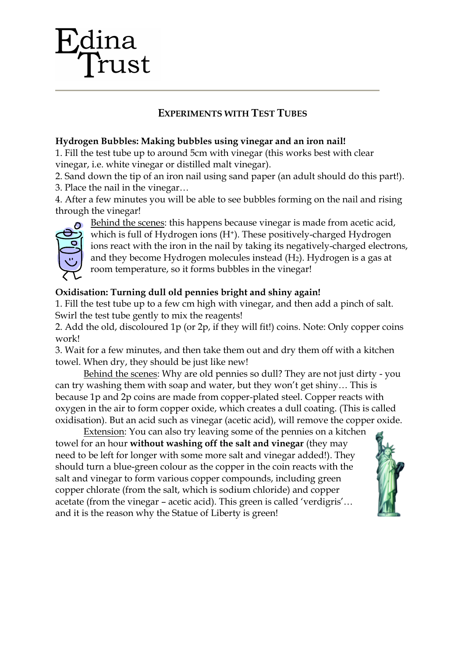# ust

# **EXPERIMENTS WITH TEST TUBES**

### **Hydrogen Bubbles: Making bubbles using vinegar and an iron nail!**

1. Fill the test tube up to around 5cm with vinegar (this works best with clear vinegar, i.e. white vinegar or distilled malt vinegar).

2. Sand down the tip of an iron nail using sand paper (an adult should do this part!).

3. Place the nail in the vinegar…

4. After a few minutes you will be able to see bubbles forming on the nail and rising through the vinegar!



Behind the scenes: this happens because vinegar is made from acetic acid, which is full of Hydrogen ions (H<sup>+</sup>). These positively-charged Hydrogen ions react with the iron in the nail by taking its negatively-charged electrons, and they become Hydrogen molecules instead  $(H<sub>2</sub>)$ . Hydrogen is a gas at room temperature, so it forms bubbles in the vinegar!

## **Oxidisation: Turning dull old pennies bright and shiny again!**

1. Fill the test tube up to a few cm high with vinegar, and then add a pinch of salt. Swirl the test tube gently to mix the reagents!

2. Add the old, discoloured 1p (or 2p, if they will fit!) coins. Note: Only copper coins work!

3. Wait for a few minutes, and then take them out and dry them off with a kitchen towel. When dry, they should be just like new!

Behind the scenes: Why are old pennies so dull? They are not just dirty - you can try washing them with soap and water, but they won't get shiny… This is because 1p and 2p coins are made from copper-plated steel. Copper reacts with oxygen in the air to form copper oxide, which creates a dull coating. (This is called oxidisation). But an acid such as vinegar (acetic acid), will remove the copper oxide.

Extension: You can also try leaving some of the pennies on a kitchen towel for an hour **without washing off the salt and vinegar** (they may need to be left for longer with some more salt and vinegar added!). They should turn a blue-green colour as the copper in the coin reacts with the salt and vinegar to form various copper compounds, including green copper chlorate (from the salt, which is sodium chloride) and copper acetate (from the vinegar – acetic acid). This green is called 'verdigris'… and it is the reason why the Statue of Liberty is green!